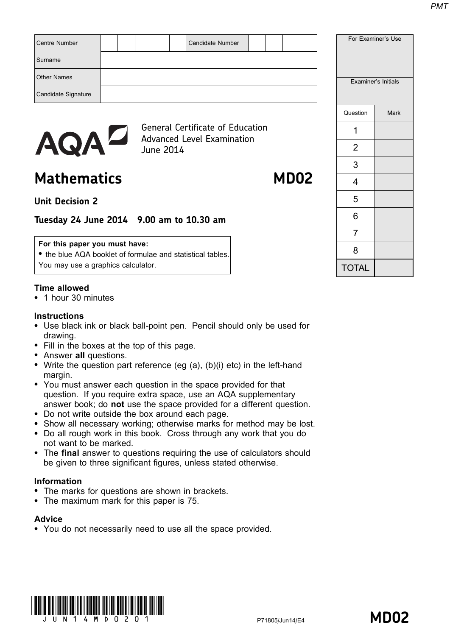| <b>Centre Number</b><br>Surname | <b>Candidate Number</b>                                                      |          | For Examiner's Use  |
|---------------------------------|------------------------------------------------------------------------------|----------|---------------------|
| <b>Other Names</b>              |                                                                              |          |                     |
| Candidate Signature             |                                                                              |          | Examiner's Initials |
|                                 |                                                                              | Question | Mark                |
|                                 | <b>General Certificate of Education</b><br><b>Advanced Level Examination</b> |          |                     |
| AQAL                            | June 2014                                                                    | 2        |                     |

# Mathematics MD02

3

4

5

6

7

8

TOTAL

# Unit Decision 2

# Tuesday 24 June 2014 9.00 am to 10.30 am

#### For this paper you must have:

• the blue AQA booklet of formulae and statistical tables. You may use a graphics calculator.

### Time allowed

\* 1 hour 30 minutes

#### **Instructions**

- Use black ink or black ball-point pen. Pencil should only be used for drawing.
- Fill in the boxes at the top of this page.
- Answer all questions.
- Write the question part reference (eg  $(a)$ ,  $(b)(i)$  etc) in the left-hand margin.
- You must answer each question in the space provided for that question. If you require extra space, use an AQA supplementary answer book; do not use the space provided for a different question.
- \* Do not write outside the box around each page.
- Show all necessary working; otherwise marks for method may be lost.
- \* Do all rough work in this book. Cross through any work that you do not want to be marked.
- The final answer to questions requiring the use of calculators should be given to three significant figures, unless stated otherwise.

#### Information

- The marks for questions are shown in brackets.
- The maximum mark for this paper is 75.

#### **Advice**

• You do not necessarily need to use all the space provided.

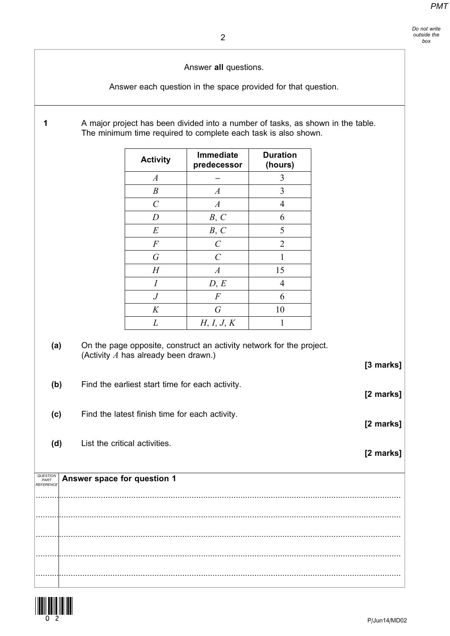Answer all questions.

Answer each question in the space provided for that question.

1 A major project has been divided into a number of tasks, as shown in the table. The minimum time required to complete each task is also shown.

| <b>Activity</b>  | Immediate<br>predecessor | <b>Duration</b><br>(hours) |
|------------------|--------------------------|----------------------------|
| $\boldsymbol{A}$ |                          | 3                          |
| $\boldsymbol{B}$ | $\boldsymbol{A}$         | 3                          |
| $\mathcal{C}$    | $\boldsymbol{A}$         | 4                          |
| $\boldsymbol{D}$ | B, C                     | 6                          |
| $\cal E$         | B, C                     | 5                          |
| $\boldsymbol{F}$ | $\mathcal{C}$            | $\overline{2}$             |
| $\overline{G}$   | $\overline{C}$           |                            |
| $H_{\rm}$        | $\boldsymbol{A}$         | 15                         |
| $\overline{I}$   | D, E                     | 4                          |
| $\boldsymbol{J}$ | $\boldsymbol{F}$         | 6                          |
| K                | $\overline{G}$           | 10                         |
| L                | H, I, J, K               | 1                          |

(a) On the page opposite, construct an activity network for the project. (Activity  $A$  has already been drawn.)

[3 marks]

[2 marks]

[2 marks]

[2 marks]

- (b) Find the earliest start time for each activity.
- (c) Find the latest finish time for each activity.
- (d) List the critical activities.

| $\sqrt[\text{RHEMCT}]{\text{PMET} \over \text{PRATEMCE}}$ Answer space for question 1 |
|---------------------------------------------------------------------------------------|
|                                                                                       |
|                                                                                       |
|                                                                                       |
|                                                                                       |
|                                                                                       |

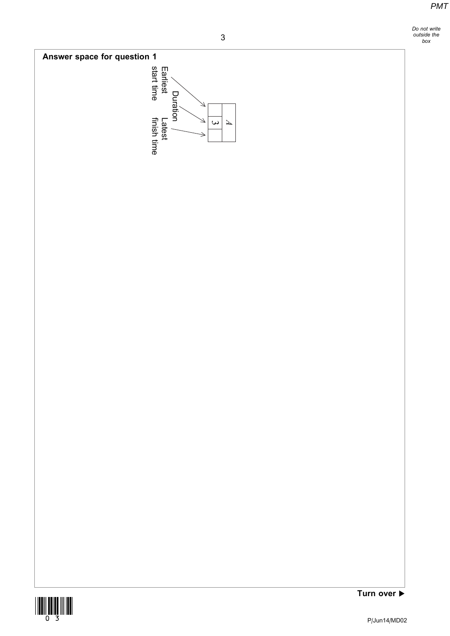Do not write outside the box





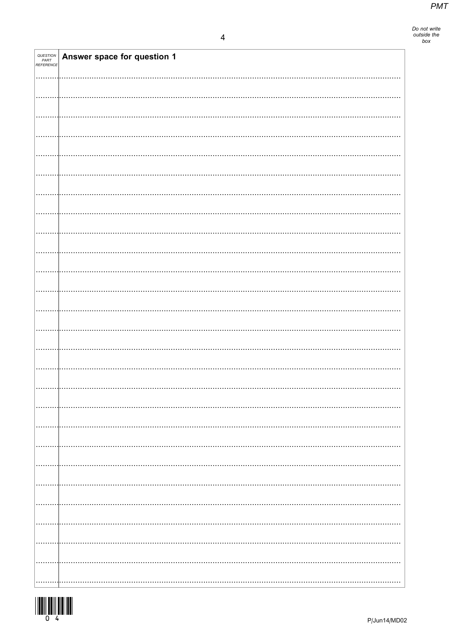| <b>QUESTION<br/>PART<br/>REFERENCE</b> | Answer space for question 1 |
|----------------------------------------|-----------------------------|
|                                        |                             |
|                                        |                             |
|                                        |                             |
|                                        |                             |
|                                        |                             |
|                                        |                             |
|                                        |                             |
|                                        |                             |
|                                        |                             |
|                                        |                             |
|                                        |                             |
|                                        |                             |
|                                        |                             |
|                                        |                             |
|                                        |                             |
|                                        |                             |
|                                        |                             |
|                                        |                             |
|                                        |                             |
|                                        |                             |
|                                        |                             |
|                                        |                             |
|                                        |                             |
|                                        |                             |
|                                        |                             |
|                                        |                             |
|                                        |                             |
|                                        |                             |
|                                        |                             |
|                                        |                             |
|                                        |                             |
|                                        |                             |
|                                        |                             |
|                                        |                             |
|                                        |                             |
|                                        |                             |
|                                        |                             |
|                                        |                             |
|                                        |                             |
|                                        |                             |
|                                        |                             |
|                                        |                             |
|                                        |                             |

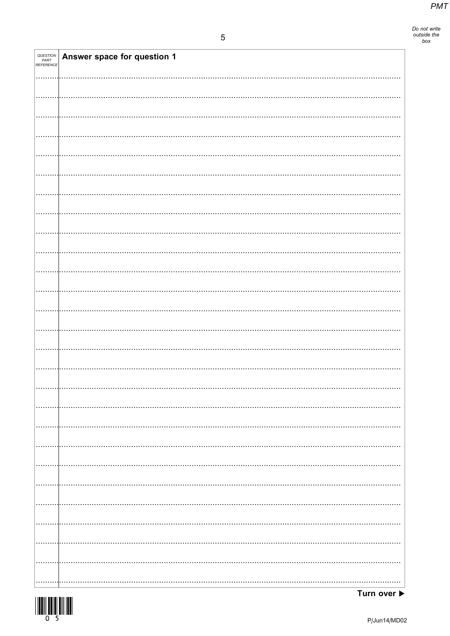| <b>QUESTION<br/>PART<br/>REFERENCE</b> | Answer space for question 1 |
|----------------------------------------|-----------------------------|
|                                        |                             |
|                                        |                             |
|                                        |                             |
|                                        |                             |
|                                        |                             |
|                                        |                             |
|                                        |                             |
|                                        |                             |
|                                        |                             |
|                                        |                             |
|                                        |                             |
|                                        |                             |
|                                        |                             |
|                                        |                             |
|                                        |                             |
|                                        |                             |
|                                        |                             |
|                                        |                             |
|                                        |                             |
|                                        |                             |
|                                        |                             |
|                                        |                             |
|                                        |                             |
|                                        |                             |
|                                        |                             |
|                                        |                             |
|                                        |                             |
|                                        |                             |
|                                        |                             |
|                                        |                             |
|                                        |                             |
|                                        |                             |
|                                        |                             |
|                                        |                             |
|                                        |                             |
|                                        |                             |
|                                        |                             |
|                                        |                             |
|                                        |                             |
|                                        |                             |
|                                        |                             |
|                                        |                             |

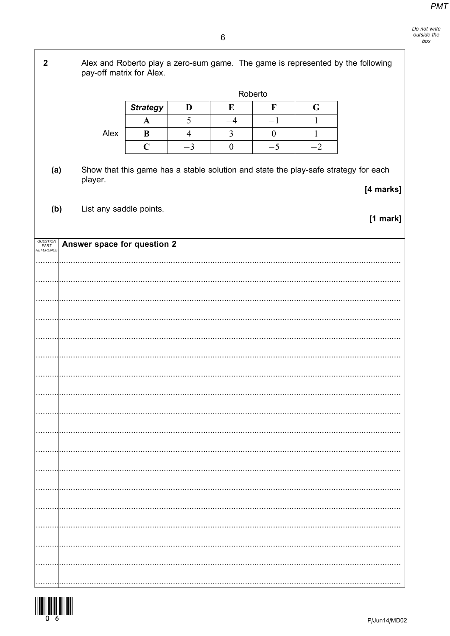$\overline{2}$ Alex and Roberto play a zero-sum game. The game is represented by the following pay-off matrix for Alex. Roberto **Strategy**  $\overline{\mathbf{F}}$ D  ${\bf E}$ G 5  $-4$  $-1$  $\mathbf{1}$  $\mathbf{A}$ Alex  $\overline{4}$  $\mathfrak{Z}$  $\boldsymbol{0}$ B  $\mathbf{1}$  $\overline{C}$  $-3$  $\boldsymbol{0}$  $-5$  $-2$ Show that this game has a stable solution and state the play-safe strategy for each  $(a)$ player. [4 marks]  $(b)$ List any saddle points.  $[1$  mark] QUESTION<br>PART<br>REFERENC Answer space for question 2  $\ddotsc$ 

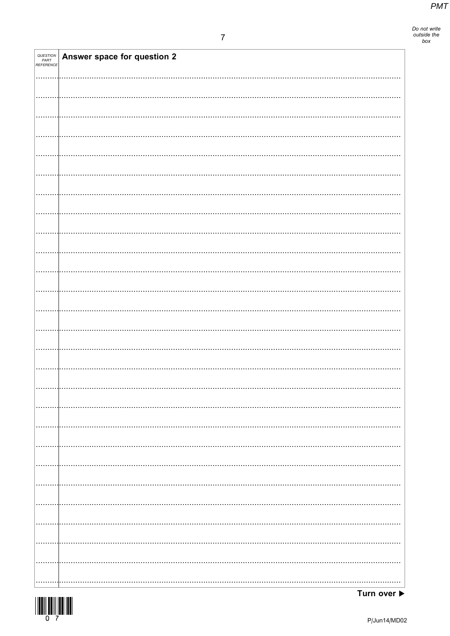Do not write<br>outside the<br>box

| QUESTION<br>PART<br>REFERENCE | Answer space for question 2 |
|-------------------------------|-----------------------------|
|                               |                             |
|                               |                             |
|                               |                             |
|                               |                             |
|                               |                             |
|                               |                             |
|                               |                             |
|                               |                             |
|                               |                             |
|                               |                             |
|                               |                             |
|                               |                             |
|                               |                             |
|                               |                             |
|                               |                             |
|                               |                             |
|                               |                             |
|                               |                             |
|                               |                             |
|                               |                             |
|                               |                             |
|                               | .                           |
|                               |                             |
|                               | .                           |
|                               |                             |
|                               |                             |
|                               |                             |



Turn over ▶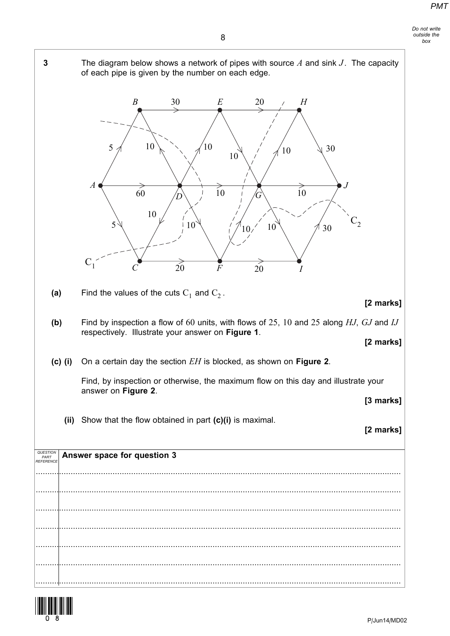



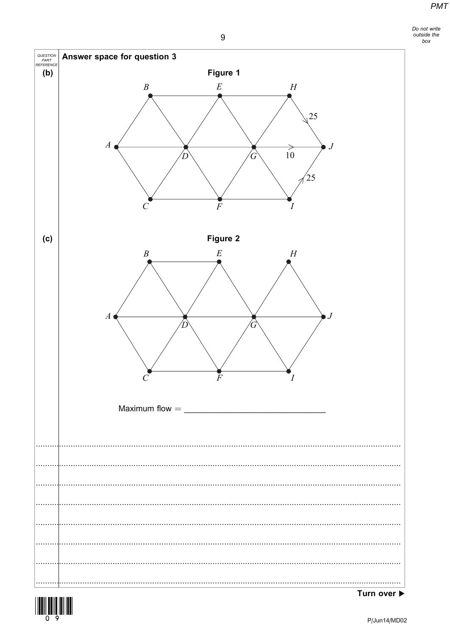

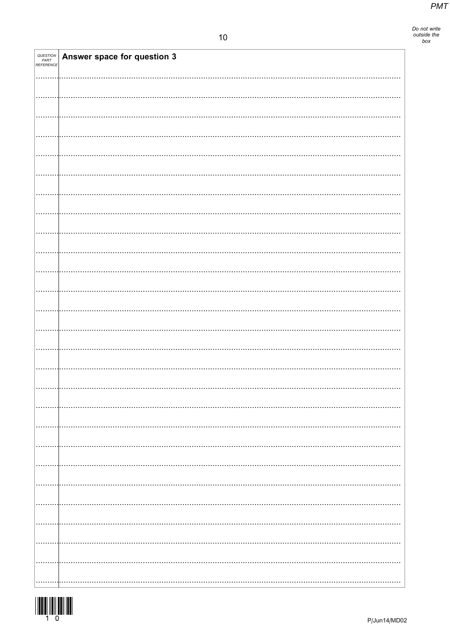| <i>QUESTION<br/>PART<br/>REFERENCE</i> | Answer space for question 3 |  |
|----------------------------------------|-----------------------------|--|
|                                        |                             |  |
|                                        |                             |  |
|                                        |                             |  |
|                                        |                             |  |
|                                        |                             |  |
|                                        |                             |  |
|                                        |                             |  |
|                                        |                             |  |
|                                        |                             |  |
|                                        |                             |  |
|                                        |                             |  |
|                                        |                             |  |
|                                        |                             |  |
|                                        |                             |  |
|                                        |                             |  |
|                                        |                             |  |
|                                        |                             |  |
|                                        |                             |  |
|                                        |                             |  |
|                                        |                             |  |
|                                        |                             |  |
|                                        |                             |  |
|                                        |                             |  |
|                                        |                             |  |
|                                        |                             |  |
|                                        |                             |  |

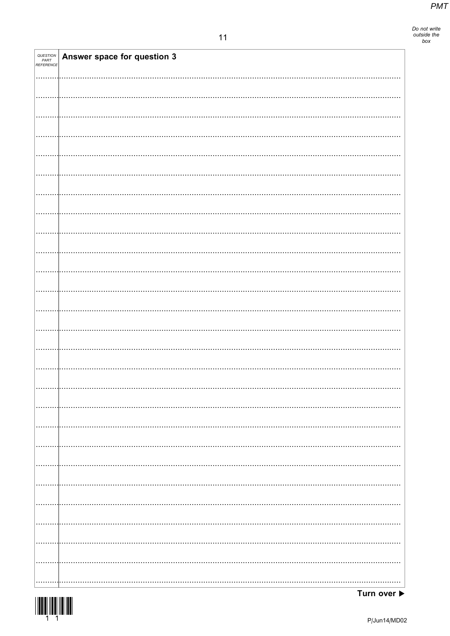| <i>QUESTION<br/>PART<br/>REFERENCE</i> | Answer space for question 3 |  |
|----------------------------------------|-----------------------------|--|
|                                        |                             |  |
|                                        |                             |  |
|                                        |                             |  |
|                                        |                             |  |
|                                        |                             |  |
|                                        |                             |  |
|                                        |                             |  |
|                                        |                             |  |
|                                        |                             |  |
|                                        |                             |  |
|                                        |                             |  |
|                                        |                             |  |
|                                        |                             |  |
|                                        |                             |  |
|                                        |                             |  |
|                                        |                             |  |
|                                        |                             |  |
|                                        |                             |  |
|                                        |                             |  |
|                                        |                             |  |
|                                        |                             |  |
|                                        |                             |  |
|                                        |                             |  |
|                                        |                             |  |
|                                        |                             |  |
|                                        |                             |  |
| .                                      |                             |  |

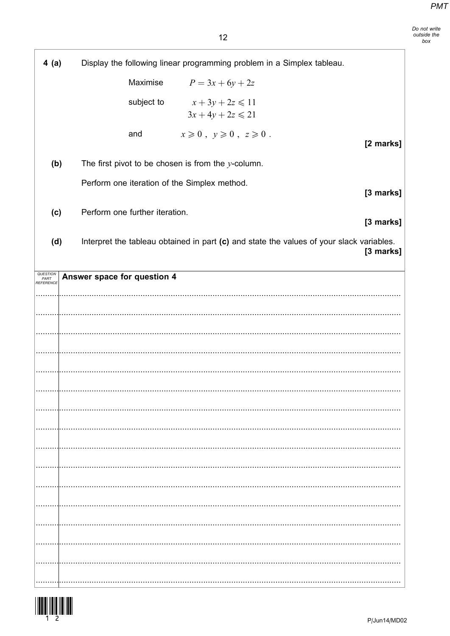| 4(a)                          |                             |                                | Display the following linear programming problem in a Simplex tableau.                   |           |
|-------------------------------|-----------------------------|--------------------------------|------------------------------------------------------------------------------------------|-----------|
|                               |                             | Maximise                       | $P = 3x + 6y + 2z$                                                                       |           |
|                               |                             | subject to                     | $x+3y+2z \leq 11$<br>$3x + 4y + 2z \le 21$                                               |           |
|                               |                             | and                            | $x \geqslant 0$ , $y \geqslant 0$ , $z \geqslant 0$ .                                    | [2 marks] |
| (b)                           |                             |                                | The first pivot to be chosen is from the $y$ -column.                                    |           |
|                               |                             |                                | Perform one iteration of the Simplex method.                                             | [3 marks] |
| (c)                           |                             | Perform one further iteration. |                                                                                          | [3 marks] |
| (d)                           |                             |                                | Interpret the tableau obtained in part (c) and state the values of your slack variables. | [3 marks] |
| QUESTION<br>PART<br>REFERENCE | Answer space for question 4 |                                |                                                                                          |           |
|                               |                             |                                |                                                                                          |           |
|                               |                             |                                |                                                                                          |           |
|                               |                             |                                |                                                                                          |           |
|                               |                             |                                |                                                                                          |           |
|                               |                             |                                |                                                                                          |           |
|                               |                             |                                |                                                                                          |           |
|                               |                             |                                |                                                                                          |           |
|                               |                             |                                |                                                                                          |           |
|                               |                             |                                |                                                                                          |           |
|                               |                             |                                |                                                                                          |           |
|                               |                             |                                |                                                                                          |           |
|                               |                             |                                |                                                                                          |           |
|                               |                             |                                |                                                                                          |           |
|                               |                             |                                |                                                                                          |           |
|                               |                             |                                |                                                                                          |           |



-F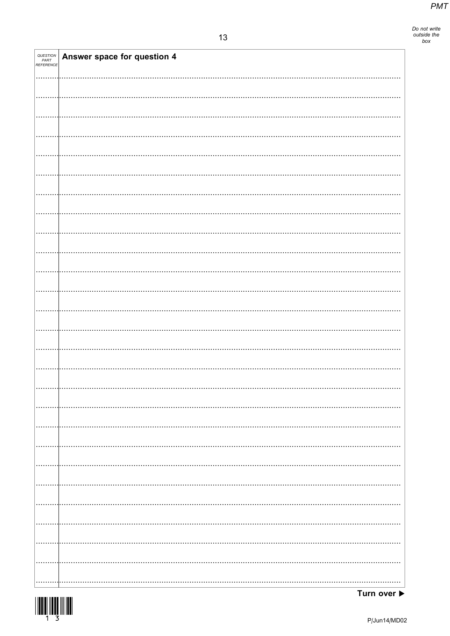| QUESTION<br>PART<br>REFERENCE | Answer space for question 4 |
|-------------------------------|-----------------------------|
|                               |                             |
|                               |                             |
|                               |                             |
|                               |                             |
|                               |                             |
|                               |                             |
|                               |                             |
|                               |                             |
|                               |                             |
|                               |                             |
|                               |                             |
|                               |                             |
|                               |                             |
|                               |                             |
|                               |                             |
|                               |                             |
|                               |                             |
|                               |                             |
|                               |                             |
|                               |                             |
|                               |                             |
|                               |                             |
|                               |                             |
|                               |                             |
|                               |                             |
|                               |                             |
|                               |                             |
| .                             |                             |

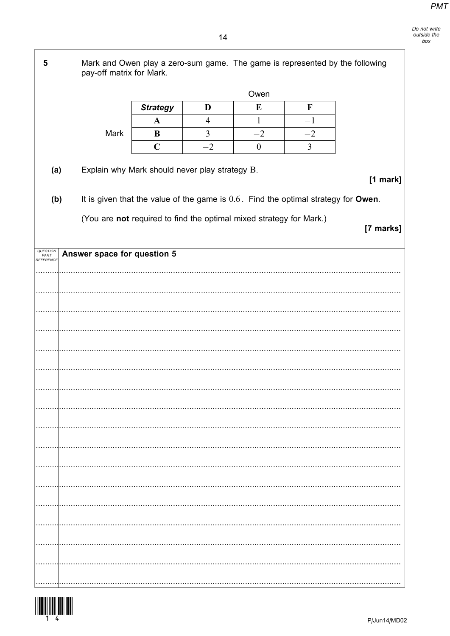5 Mark and Owen play a zero-sum game. The game is represented by the following pay-off matrix for Mark. Owen **Strategy** D E  $\mathbf F$  $\overline{4}$  $\mathbf{1}$  $-1$  $\mathbf{A}$ Mark  $\bf{B}$  $\overline{3}$  $-2$  $-2$  $\mathbf C$  $-2$  $\boldsymbol{0}$  $\overline{3}$ Explain why Mark should never play strategy B.  $(a)$  $[1$  mark] It is given that the value of the game is  $0.6$ . Find the optimal strategy for Owen.  $(b)$ (You are not required to find the optimal mixed strategy for Mark.) [7 marks] QUESTION<br>PART<br>REFERENCE Answer space for question 5 . . . 

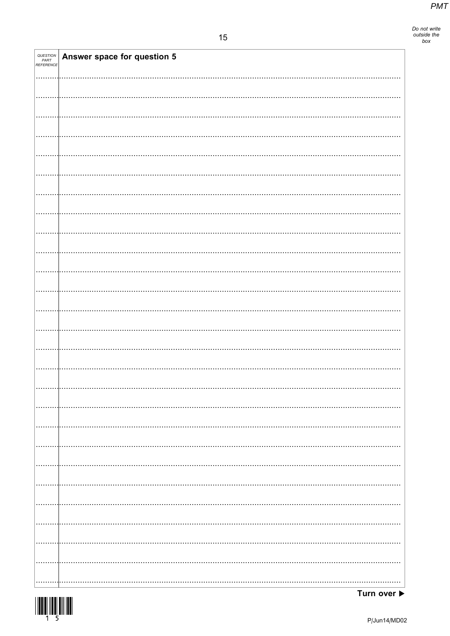Do not write<br>outside the<br>box

| QUESTION<br>PART<br>REFERENCE | <b>Answer space for question 5</b> |  |
|-------------------------------|------------------------------------|--|
|                               |                                    |  |
|                               |                                    |  |
|                               |                                    |  |
|                               |                                    |  |
|                               |                                    |  |
|                               |                                    |  |
|                               |                                    |  |
|                               |                                    |  |
|                               |                                    |  |
|                               |                                    |  |
|                               |                                    |  |
|                               |                                    |  |
|                               |                                    |  |
|                               |                                    |  |
|                               |                                    |  |
|                               |                                    |  |
|                               |                                    |  |
|                               |                                    |  |
|                               |                                    |  |
|                               |                                    |  |
|                               |                                    |  |
|                               |                                    |  |
|                               |                                    |  |
|                               |                                    |  |
|                               |                                    |  |
|                               |                                    |  |
|                               |                                    |  |
|                               |                                    |  |
|                               |                                    |  |
|                               |                                    |  |
|                               |                                    |  |
|                               |                                    |  |
|                               |                                    |  |
|                               |                                    |  |
|                               |                                    |  |
|                               |                                    |  |
|                               |                                    |  |
|                               |                                    |  |
|                               |                                    |  |
|                               |                                    |  |
|                               |                                    |  |
|                               |                                    |  |
|                               |                                    |  |
|                               |                                    |  |
|                               |                                    |  |
|                               |                                    |  |
|                               |                                    |  |
|                               |                                    |  |
|                               |                                    |  |
|                               |                                    |  |
|                               |                                    |  |
|                               |                                    |  |
|                               |                                    |  |
|                               |                                    |  |
|                               |                                    |  |
|                               |                                    |  |
|                               |                                    |  |
|                               |                                    |  |
|                               |                                    |  |



Turn over ▶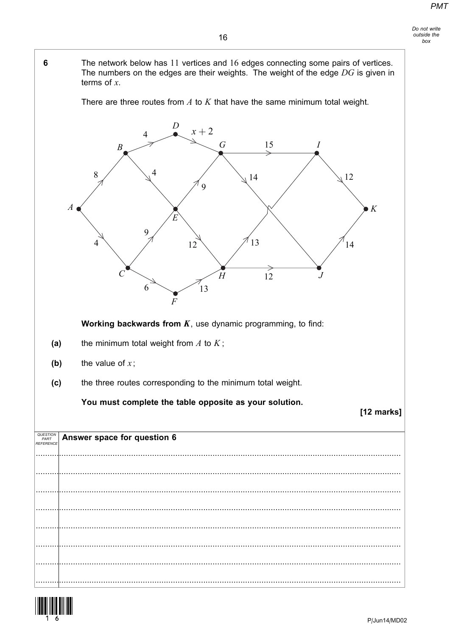

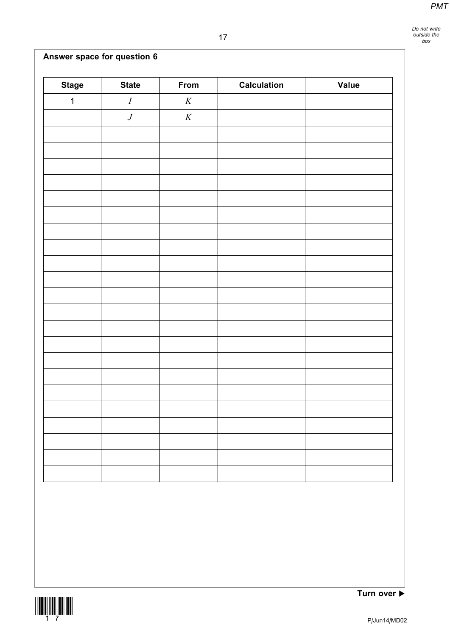# Answer space for question 6

| <b>Stage</b> | <b>State</b>     | From     | <b>Calculation</b> | <b>Value</b> |
|--------------|------------------|----------|--------------------|--------------|
| $\mathbf{1}$ | $\cal I$         | $\cal K$ |                    |              |
|              | $\boldsymbol{J}$ | $\cal K$ |                    |              |
|              |                  |          |                    |              |
|              |                  |          |                    |              |
|              |                  |          |                    |              |
|              |                  |          |                    |              |
|              |                  |          |                    |              |
|              |                  |          |                    |              |
|              |                  |          |                    |              |
|              |                  |          |                    |              |
|              |                  |          |                    |              |
|              |                  |          |                    |              |
|              |                  |          |                    |              |
|              |                  |          |                    |              |
|              |                  |          |                    |              |
|              |                  |          |                    |              |
|              |                  |          |                    |              |
|              |                  |          |                    |              |
|              |                  |          |                    |              |
|              |                  |          |                    |              |
|              |                  |          |                    |              |
|              |                  |          |                    |              |
|              |                  |          |                    |              |
|              |                  |          |                    |              |



Turn over  $\blacktriangleright$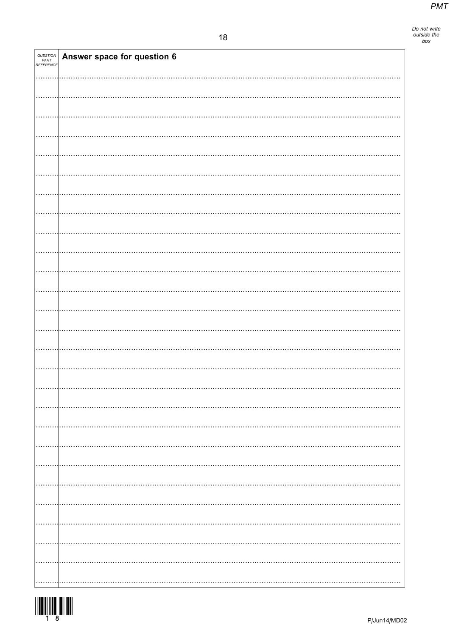| QUESTION<br>PART<br>REFERENCE | Answer space for question 6 |
|-------------------------------|-----------------------------|
|                               |                             |
|                               |                             |
|                               |                             |
|                               |                             |
|                               |                             |
|                               |                             |
|                               |                             |
|                               |                             |
|                               |                             |
|                               |                             |
|                               |                             |
|                               |                             |
|                               |                             |
|                               |                             |
|                               |                             |
|                               |                             |
|                               |                             |
|                               |                             |
|                               |                             |
|                               |                             |
|                               |                             |
|                               |                             |
|                               |                             |
|                               |                             |
|                               |                             |

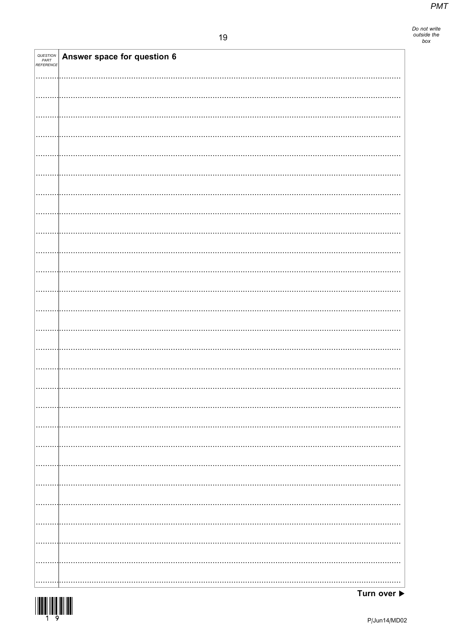| QUESTION<br>PART<br>REFERENCE | Answer space for question 6 |
|-------------------------------|-----------------------------|
|                               |                             |
|                               |                             |
|                               |                             |
|                               |                             |
|                               |                             |
|                               |                             |
|                               |                             |
|                               |                             |
|                               |                             |
|                               |                             |
|                               |                             |
|                               |                             |
|                               |                             |
|                               |                             |
|                               |                             |
|                               |                             |
|                               |                             |
|                               |                             |
|                               |                             |
|                               |                             |
|                               |                             |
|                               |                             |
|                               |                             |
|                               |                             |
|                               |                             |
|                               |                             |

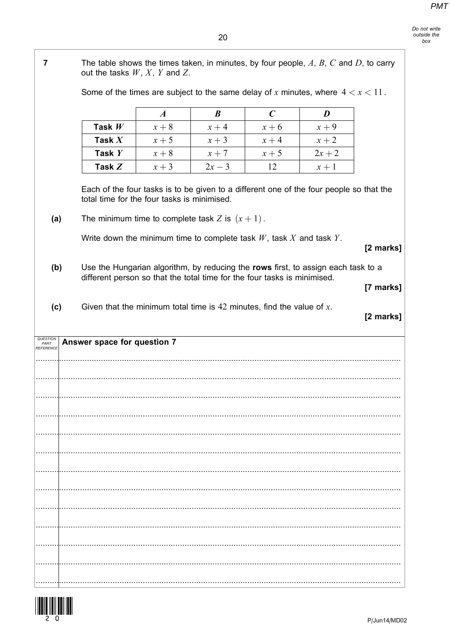٦

| $\overline{\mathbf{7}}$                                                                                                                                              | The table shows the times taken, in minutes, by four people, $A, B, C$ and $D$ , to carry<br>out the tasks $W, X, Y$ and Z.                                                                         |                  |                  |                  |                  |           |
|----------------------------------------------------------------------------------------------------------------------------------------------------------------------|-----------------------------------------------------------------------------------------------------------------------------------------------------------------------------------------------------|------------------|------------------|------------------|------------------|-----------|
|                                                                                                                                                                      | Some of the times are subject to the same delay of x minutes, where $4 < x < 11$ .                                                                                                                  |                  |                  |                  |                  |           |
|                                                                                                                                                                      |                                                                                                                                                                                                     | $\boldsymbol{A}$ | $\boldsymbol{B}$ | $\boldsymbol{C}$ | $\boldsymbol{D}$ |           |
|                                                                                                                                                                      | Task $W$                                                                                                                                                                                            | $x+8$            | $x + 4$          | $x+6$            | $x + 9$          |           |
|                                                                                                                                                                      | Task $X$                                                                                                                                                                                            | $x + 5$          | $x + 3$          | $x + 4$          | $x + 2$          |           |
|                                                                                                                                                                      | Task $Y$                                                                                                                                                                                            | $x+8$            | $x + 7$          | $x + 5$          | $2x + 2$         |           |
|                                                                                                                                                                      | Task $Z$                                                                                                                                                                                            | $x + 3$          | $2x - 3$         | 12               | $x+1$            |           |
|                                                                                                                                                                      | Each of the four tasks is to be given to a different one of the four people so that the<br>total time for the four tasks is minimised.<br>The minimum time to complete task Z is $(x + 1)$ .<br>(a) |                  |                  |                  |                  |           |
| Write down the minimum time to complete task $W$ , task $X$ and task $Y$ .                                                                                           |                                                                                                                                                                                                     |                  |                  | [2 marks]        |                  |           |
| Use the Hungarian algorithm, by reducing the rows first, to assign each task to a<br>(b)<br>different person so that the total time for the four tasks is minimised. |                                                                                                                                                                                                     |                  |                  | [7 marks]        |                  |           |
| (c)                                                                                                                                                                  | Given that the minimum total time is $42$ minutes, find the value of x.                                                                                                                             |                  |                  |                  |                  | [2 marks] |
| PART<br>REFERENCE                                                                                                                                                    | Answer space for question 7                                                                                                                                                                         |                  |                  |                  |                  |           |
|                                                                                                                                                                      |                                                                                                                                                                                                     |                  |                  |                  |                  |           |
|                                                                                                                                                                      |                                                                                                                                                                                                     |                  |                  |                  |                  |           |
|                                                                                                                                                                      |                                                                                                                                                                                                     |                  |                  |                  |                  |           |
|                                                                                                                                                                      |                                                                                                                                                                                                     |                  |                  |                  |                  |           |
|                                                                                                                                                                      |                                                                                                                                                                                                     |                  |                  |                  |                  |           |
|                                                                                                                                                                      |                                                                                                                                                                                                     |                  |                  |                  |                  |           |
|                                                                                                                                                                      |                                                                                                                                                                                                     |                  |                  |                  |                  |           |
|                                                                                                                                                                      |                                                                                                                                                                                                     |                  |                  |                  |                  |           |
|                                                                                                                                                                      |                                                                                                                                                                                                     |                  |                  |                  |                  |           |
|                                                                                                                                                                      |                                                                                                                                                                                                     |                  |                  |                  |                  |           |
|                                                                                                                                                                      |                                                                                                                                                                                                     |                  |                  |                  |                  |           |
|                                                                                                                                                                      |                                                                                                                                                                                                     |                  |                  |                  |                  |           |
|                                                                                                                                                                      |                                                                                                                                                                                                     |                  |                  |                  |                  |           |
|                                                                                                                                                                      |                                                                                                                                                                                                     |                  |                  |                  |                  |           |
|                                                                                                                                                                      |                                                                                                                                                                                                     |                  |                  |                  |                  |           |
|                                                                                                                                                                      |                                                                                                                                                                                                     |                  |                  |                  |                  |           |

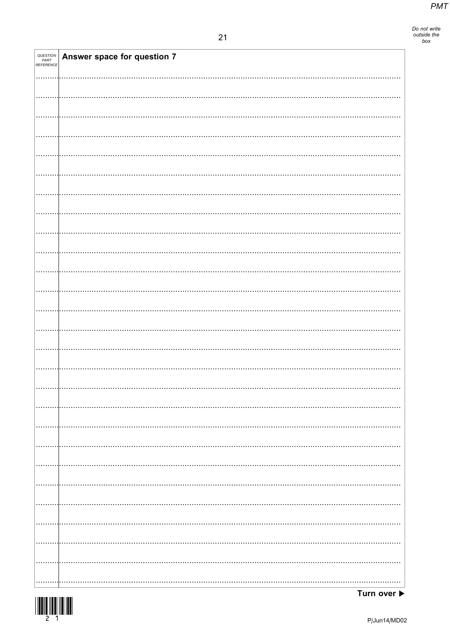| <i>QUESTION<br/>PART<br/>REFERENCE</i> | <b>Answer space for question 7</b> |  |
|----------------------------------------|------------------------------------|--|
|                                        |                                    |  |
|                                        |                                    |  |
|                                        |                                    |  |
|                                        |                                    |  |
|                                        |                                    |  |
|                                        |                                    |  |
|                                        |                                    |  |
|                                        |                                    |  |
|                                        |                                    |  |
|                                        |                                    |  |
|                                        |                                    |  |
|                                        |                                    |  |
|                                        |                                    |  |
|                                        |                                    |  |
|                                        |                                    |  |
|                                        |                                    |  |
|                                        |                                    |  |
|                                        |                                    |  |
|                                        |                                    |  |
|                                        |                                    |  |
|                                        |                                    |  |
|                                        |                                    |  |
|                                        |                                    |  |
|                                        |                                    |  |
|                                        |                                    |  |
|                                        |                                    |  |
|                                        |                                    |  |
|                                        |                                    |  |
|                                        |                                    |  |
|                                        |                                    |  |
|                                        |                                    |  |
|                                        |                                    |  |
|                                        |                                    |  |
|                                        |                                    |  |
|                                        |                                    |  |
|                                        |                                    |  |
|                                        |                                    |  |

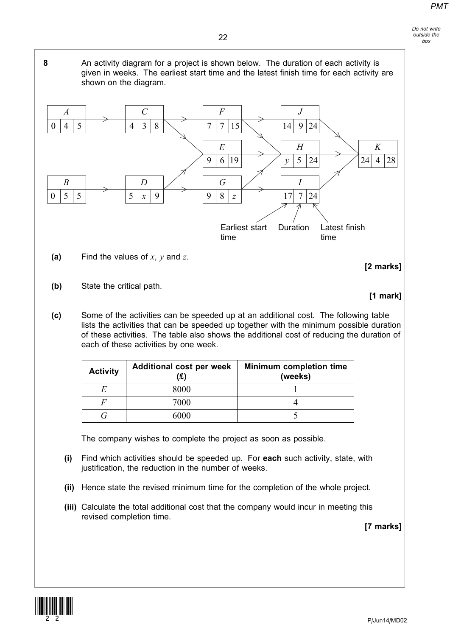8 An activity diagram for a project is shown below. The duration of each activity is given in weeks. The earliest start time and the latest finish time for each activity are shown on the diagram.



- (a) Find the values of  $x, y$  and  $z$ .
- (b) State the critical path.

# [1 mark]

[2 marks]

(c) Some of the activities can be speeded up at an additional cost. The following table lists the activities that can be speeded up together with the minimum possible duration of these activities. The table also shows the additional cost of reducing the duration of each of these activities by one week.

| <b>Activity</b> | <b>Additional cost per week</b> | <b>Minimum completion time</b><br>(weeks) |  |
|-----------------|---------------------------------|-------------------------------------------|--|
|                 | 8000                            |                                           |  |
|                 | 7000                            |                                           |  |
|                 | 6000                            |                                           |  |

The company wishes to complete the project as soon as possible.

- (i) Find which activities should be speeded up. For each such activity, state, with justification, the reduction in the number of weeks.
- (ii) Hence state the revised minimum time for the completion of the whole project.
- (iii) Calculate the total additional cost that the company would incur in meeting this revised completion time.

[7 marks]

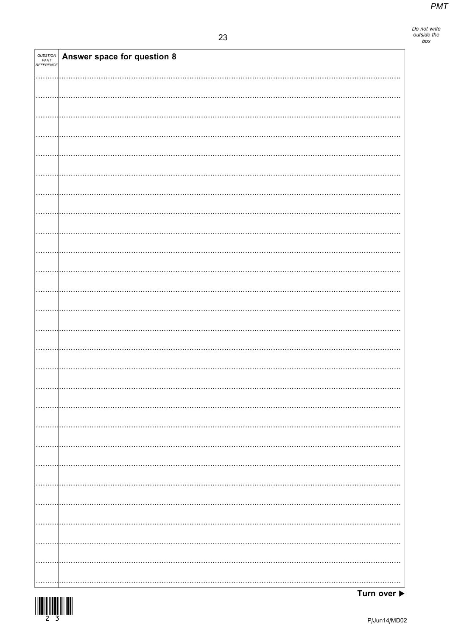| QUESTION<br>PART<br>REFERENCE | Answer space for question 8 |
|-------------------------------|-----------------------------|
|                               |                             |
|                               |                             |
|                               |                             |
|                               |                             |
|                               |                             |
|                               |                             |
|                               |                             |
|                               |                             |
|                               |                             |
|                               |                             |
|                               |                             |
|                               |                             |
|                               |                             |
|                               |                             |
|                               |                             |
|                               |                             |
|                               |                             |
|                               |                             |
|                               |                             |
|                               |                             |
|                               |                             |
|                               |                             |
|                               |                             |
|                               |                             |



Turn over  $\blacktriangleright$